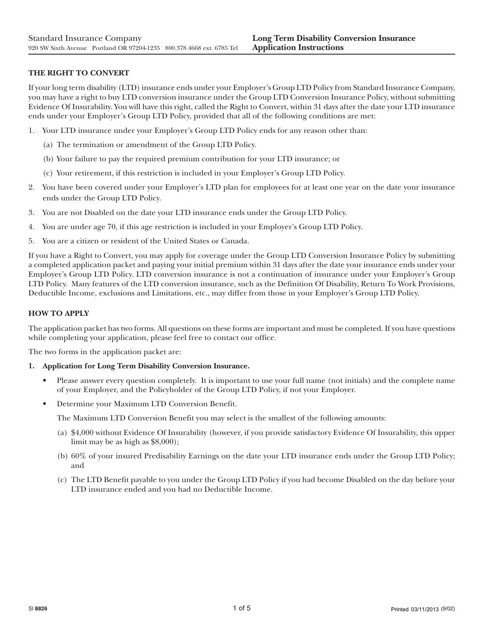# **THE RIGHT TO CONVERT**

If your long term disability (LTD) insurance ends under your Employer's Group LTD Policy from Standard Insurance Company, you may have a right to buy LTD conversion insurance under the Group LTD Conversion Insurance Policy, without submitting Evidence Of Insurability. You will have this right, called the Right to Convert, within 31 days after the date your LTD insurance ends under your Employer's Group LTD Policy, provided that all of the following conditions are met:

- 1. Your LTD insurance under your Employer's Group LTD Policy ends for any reason other than:
	- (a) The termination or amendment of the Group LTD Policy.
	- (b) Your failure to pay the required premium contribution for your LTD insurance; or
	- (c) Your retirement, if this restriction is included in your Employer's Group LTD Policy.
- 2. You have been covered under your Employer's LTD plan for employees for at least one year on the date your insurance ends under the Group LTD Policy.
- 3. You are not Disabled on the date your LTD insurance ends under the Group LTD Policy.
- 4. You are under age 70, if this age restriction is included in your Employer's Group LTD Policy.
- 5. You are a citizen or resident of the United States or Canada.

If you have a Right to Convert, you may apply for coverage under the Group LTD Conversion Insurance Policy by submitting a completed application packet and paying your initial premium within 31 days after the date your insurance ends under your Employer's Group LTD Policy. LTD conversion insurance is not a continuation of insurance under your Employer's Group LTD Policy. Many features of the LTD conversion insurance, such as the Definition Of Disability, Return To Work Provisions, Deductible Income, exclusions and Limitations, etc., may differ from those in your Employer's Group LTD Policy.

# **HOW TO APPLY**

The application packet has two forms. All questions on these forms are important and must be completed. If you have questions while completing your application, please feel free to contact our office.

The two forms in the application packet are:

## **1. Application for Long Term Disability Conversion Insurance.**

- Please answer every question completely. It is important to use your full name (not initials) and the complete name of your Employer, and the Policyholder of the Group LTD Policy, if not your Employer.
- Determine your Maximum LTD Conversion Benefit.

The Maximum LTD Conversion Benefit you may select is the smallest of the following amounts:

- (a) \$4,000 without Evidence Of Insurability (however, if you provide satisfactory Evidence Of Insurability, this upper limit may be as high as \$8,000);
- (b) 60% of your insured Predisability Earnings on the date your LTD insurance ends under the Group LTD Policy; and
- (c) The LTD Benefit payable to you under the Group LTD Policy if you had become Disabled on the day before your LTD insurance ended and you had no Deductible Income.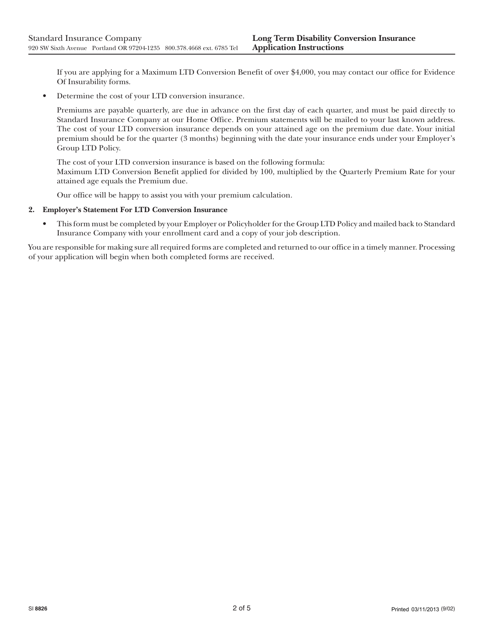If you are applying for a Maximum LTD Conversion Benefit of over \$4,000, you may contact our office for Evidence Of Insurability forms.

• Determine the cost of your LTD conversion insurance.

Premiums are payable quarterly, are due in advance on the first day of each quarter, and must be paid directly to Standard Insurance Company at our Home Office. Premium statements will be mailed to your last known address. The cost of your LTD conversion insurance depends on your attained age on the premium due date. Your initial premium should be for the quarter (3 months) beginning with the date your insurance ends under your Employer's Group LTD Policy.

The cost of your LTD conversion insurance is based on the following formula:

Maximum LTD Conversion Benefit applied for divided by 100, multiplied by the Quarterly Premium Rate for your attained age equals the Premium due.

Our office will be happy to assist you with your premium calculation.

## **2. Employer's Statement For LTD Conversion Insurance**

• This form must be completed by your Employer or Policyholder for the Group LTD Policy and mailed back to Standard Insurance Company with your enrollment card and a copy of your job description.

You are responsible for making sure all required forms are completed and returned to our office in a timely manner. Processing of your application will begin when both completed forms are received.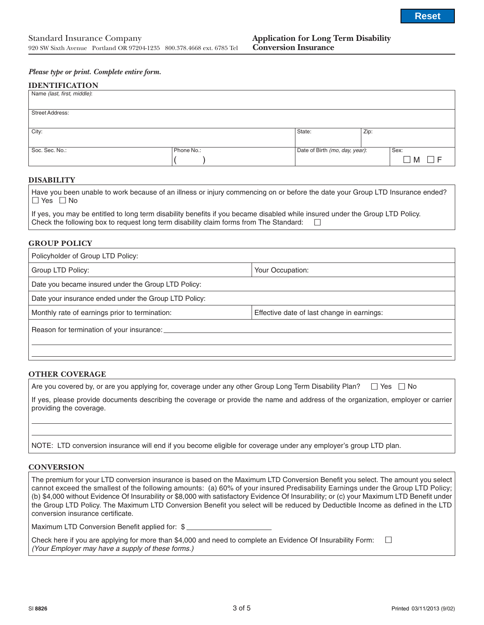#### *Please type or print. Complete entire form.*

#### **IDENTIFICATION**

| Name (last, first, middle): |            |                                |      |         |
|-----------------------------|------------|--------------------------------|------|---------|
| <b>Street Address:</b>      |            |                                |      |         |
|                             |            |                                |      |         |
| City:                       |            | State:                         | Zip: |         |
| Soc. Sec. No.:              | Phone No.: | Date of Birth (mo, day, year): |      | Sex:    |
|                             |            |                                |      | □ M □ F |

## **DISABILITY**

| Have you been unable to work because of an illness or injury commencing on or before the date your Group LTD Insurance ended? |  |
|-------------------------------------------------------------------------------------------------------------------------------|--|
| $\Box$ Yes $\Box$ No                                                                                                          |  |

| If yes, you may be entitled to long term disability benefits if you became disabled while insured under the Group LTD Policy. |  |  |
|-------------------------------------------------------------------------------------------------------------------------------|--|--|
| Check the following box to request long term disability claim forms from The Standard: $\square$                              |  |  |

#### **GROUP POLICY**

| Policyholder of Group LTD Policy:                     |                                            |  |  |  |
|-------------------------------------------------------|--------------------------------------------|--|--|--|
| Group LTD Policy:                                     | Your Occupation:                           |  |  |  |
| Date you became insured under the Group LTD Policy:   |                                            |  |  |  |
| Date your insurance ended under the Group LTD Policy: |                                            |  |  |  |
| Monthly rate of earnings prior to termination:        | Effective date of last change in earnings: |  |  |  |
| Reason for termination of your insurance:             |                                            |  |  |  |
|                                                       |                                            |  |  |  |

## **OTHER COVERAGE**

| Are you covered by, or are you applying for, coverage under any other Group Long Term Disability Plan? □ Yes □ No |  |  |
|-------------------------------------------------------------------------------------------------------------------|--|--|
|                                                                                                                   |  |  |

If yes, please provide documents describing the coverage or provide the name and address of the organization, employer or carrier providing the coverage.

NOTE: LTD conversion insurance will end if you become eligible for coverage under any employer's group LTD plan.

#### **CONVERSION**

The premium for your LTD conversion insurance is based on the Maximum LTD Conversion Benefit you select. The amount you select cannot exceed the smallest of the following amounts: (a) 60% of your insured Predisability Earnings under the Group LTD Policy; (b) \$4,000 without Evidence Of Insurability or \$8,000 with satisfactory Evidence Of Insurability; or (c) your Maximum LTD Benefit under the Group LTD Policy. The Maximum LTD Conversion Benefit you select will be reduced by Deductible Income as defined in the LTD conversion insurance certificate.

Maximum LTD Conversion Benefit applied for: \$

Check here if you are applying for more than \$4,000 and need to complete an Evidence Of Insurability Form:  $\Box$ (Your Employer may have a supply of these forms.)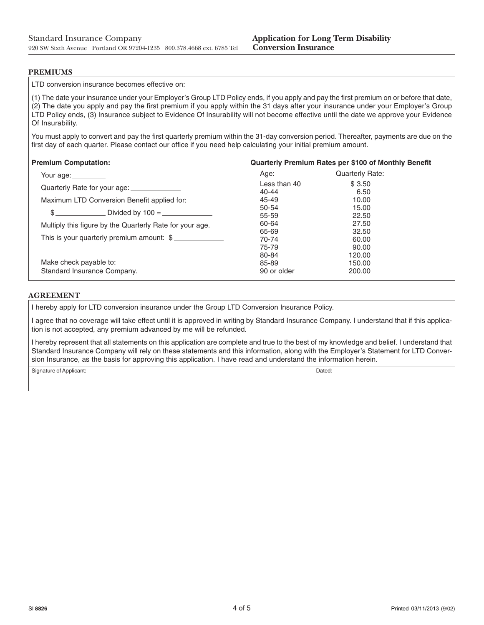## **PREMIUMS**

LTD conversion insurance becomes effective on:

(1) The date your insurance under your Employer's Group LTD Policy ends, if you apply and pay the first premium on or before that date, (2) The date you apply and pay the first premium if you apply within the 31 days after your insurance under your Employer's Group LTD Policy ends, (3) Insurance subject to Evidence Of Insurability will not become effective until the date we approve your Evidence Of Insurability.

You must apply to convert and pay the first quarterly premium within the 31-day conversion period. Thereafter, payments are due on the first day of each quarter. Please contact our office if you need help calculating your initial premium amount.

| <b>Premium Computation:</b>                              | <b>Quarterly Premium Rates per \$100 of Monthly Benefit</b> |                        |  |  |
|----------------------------------------------------------|-------------------------------------------------------------|------------------------|--|--|
| Your age: <u>__________</u>                              | Age:                                                        | <b>Quarterly Rate:</b> |  |  |
| Quarterly Rate for your age: ______________              | Less than 40<br>40-44                                       | \$3.50<br>6.50         |  |  |
| Maximum LTD Conversion Benefit applied for:              | 45-49                                                       | 10.00                  |  |  |
|                                                          | 50-54                                                       | 15.00                  |  |  |
|                                                          | 55-59                                                       | 22.50                  |  |  |
| Multiply this figure by the Quarterly Rate for your age. | 60-64                                                       | 27.50                  |  |  |
|                                                          | 65-69                                                       | 32.50                  |  |  |
| This is your quarterly premium amount: \$                | 70-74                                                       | 60.00                  |  |  |
|                                                          | 75-79                                                       | 90.00                  |  |  |
|                                                          | 80-84                                                       | 120.00                 |  |  |
| Make check payable to:                                   | 85-89                                                       | 150.00                 |  |  |
| Standard Insurance Company.                              | 90 or older                                                 | 200.00                 |  |  |

# **AGREEMENT**

I hereby apply for LTD conversion insurance under the Group LTD Conversion Insurance Policy.

I agree that no coverage will take effect until it is approved in writing by Standard Insurance Company. I understand that if this application is not accepted, any premium advanced by me will be refunded.

I hereby represent that all statements on this application are complete and true to the best of my knowledge and belief. I understand that Standard Insurance Company will rely on these statements and this information, along with the Employer's Statement for LTD Conversion Insurance, as the basis for approving this application. I have read and understand the information herein.

| Signature of Applicant:<br>Dated: |
|-----------------------------------|
|-----------------------------------|

| .,<br>× |
|---------|
|         |